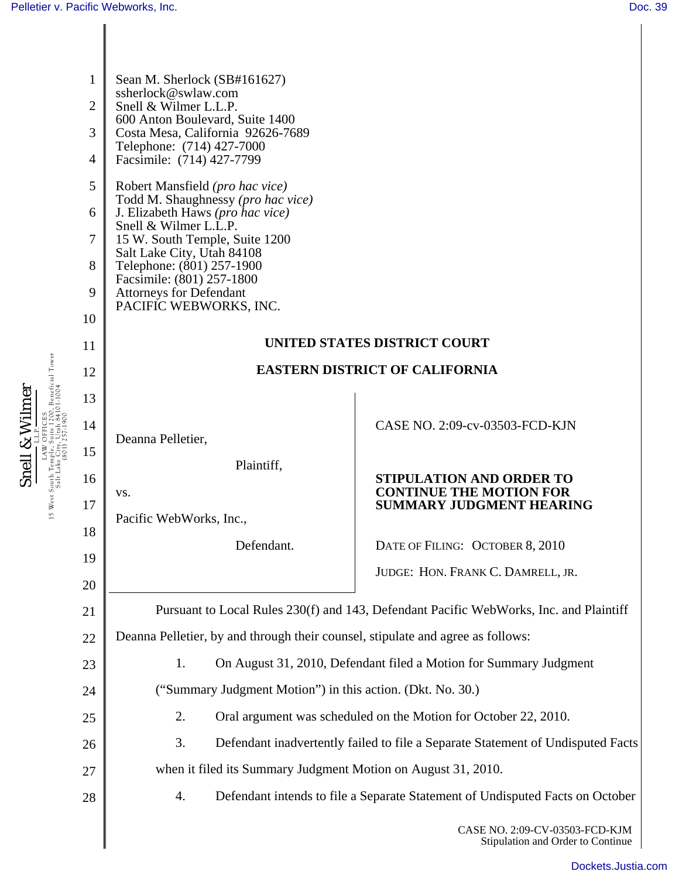Snell & Wilmer  $\frac{\textbf{Snell} \; \& \; \textbf{Williamer}}{\text{Lax OFICES}}_{\text{LBM OFICES}}\\ \text{15 West South Temple, Suite 1200, Benedict Power}\\ \text{Salt Lake (Soll) 257:1906} \end{split}$ LAW OFFICES 15 West South Temple, Suite 1200, Beneficial Tower Salt Lake City, Utah 84101-1004 (801) 257-1900

| $\mathbf{1}$   | Sean M. Sherlock (SB#161627)                                                                                                                                                                                |                                                                     |  |
|----------------|-------------------------------------------------------------------------------------------------------------------------------------------------------------------------------------------------------------|---------------------------------------------------------------------|--|
| $\overline{2}$ | ssherlock@swlaw.com                                                                                                                                                                                         |                                                                     |  |
|                | Snell & Wilmer L.L.P.<br>600 Anton Boulevard, Suite 1400                                                                                                                                                    |                                                                     |  |
| 3              | Costa Mesa, California 92626-7689<br>Telephone: (714) 427-7000                                                                                                                                              |                                                                     |  |
| $\overline{4}$ | Facsimile: (714) 427-7799                                                                                                                                                                                   |                                                                     |  |
| 5              | Robert Mansfield ( <i>pro hac vice</i> )<br>Todd M. Shaughnessy (pro hac vice)<br>J. Elizabeth Haws (pro hac vice)<br>Snell & Wilmer L.L.P.<br>15 W. South Temple, Suite 1200<br>Salt Lake City, Utah 84108 |                                                                     |  |
| 6              |                                                                                                                                                                                                             |                                                                     |  |
| 7              |                                                                                                                                                                                                             |                                                                     |  |
| 8              | Telephone: (801) 257-1900<br>Facsimile: (801) 257-1800                                                                                                                                                      |                                                                     |  |
| 9              | <b>Attorneys for Defendant</b><br>PACIFIC WEBWORKS, INC.                                                                                                                                                    |                                                                     |  |
| 10             |                                                                                                                                                                                                             |                                                                     |  |
| 11             | <b>UNITED STATES DISTRICT COURT</b>                                                                                                                                                                         |                                                                     |  |
| 12             | <b>EASTERN DISTRICT OF CALIFORNIA</b>                                                                                                                                                                       |                                                                     |  |
| 13             |                                                                                                                                                                                                             |                                                                     |  |
| 14             | Deanna Pelletier,                                                                                                                                                                                           | CASE NO. 2:09-cv-03503-FCD-KJN                                      |  |
| 15             | Plaintiff,                                                                                                                                                                                                  |                                                                     |  |
| 16             |                                                                                                                                                                                                             | <b>STIPULATION AND ORDER TO</b><br><b>CONTINUE THE MOTION FOR</b>   |  |
| 17             | VS.<br>Pacific WebWorks, Inc.,                                                                                                                                                                              | <b>SUMMARY JUDGMENT HEARING</b>                                     |  |
| 18             | Defendant.                                                                                                                                                                                                  |                                                                     |  |
| 19             |                                                                                                                                                                                                             | DATE OF FILING: OCTOBER 8, 2010                                     |  |
| 20             |                                                                                                                                                                                                             | JUDGE: HON. FRANK C. DAMRELL, JR.                                   |  |
| 21             | Pursuant to Local Rules 230(f) and 143, Defendant Pacific WebWorks, Inc. and Plaintiff                                                                                                                      |                                                                     |  |
| 22             | Deanna Pelletier, by and through their counsel, stipulate and agree as follows:                                                                                                                             |                                                                     |  |
| 23             | On August 31, 2010, Defendant filed a Motion for Summary Judgment<br>1.                                                                                                                                     |                                                                     |  |
| 24             | ("Summary Judgment Motion") in this action. (Dkt. No. 30.)                                                                                                                                                  |                                                                     |  |
| 25             | 2.<br>Oral argument was scheduled on the Motion for October 22, 2010.                                                                                                                                       |                                                                     |  |
| 26             | 3.<br>Defendant inadvertently failed to file a Separate Statement of Undisputed Facts                                                                                                                       |                                                                     |  |
| 27             | when it filed its Summary Judgment Motion on August 31, 2010.                                                                                                                                               |                                                                     |  |
| 28             | 4.<br>Defendant intends to file a Separate Statement of Undisputed Facts on October                                                                                                                         |                                                                     |  |
|                |                                                                                                                                                                                                             | CASE NO. 2:09-CV-03503-FCD-KJM<br>Stipulation and Order to Continue |  |

[Dockets.Justia.com](http://dockets.justia.com/)